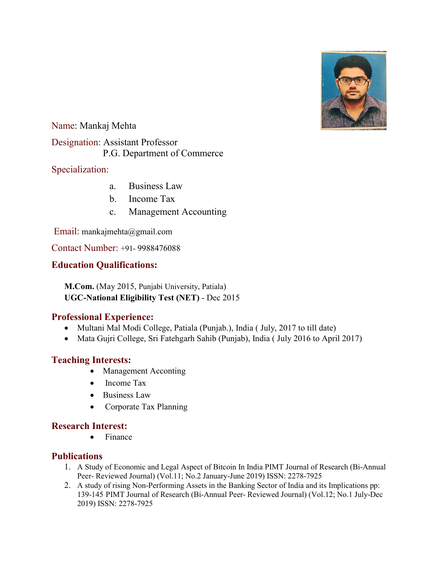

Name: Mankaj Mehta Designation: Assistant Professor

P.G. Department of Commerce

# Specialization:

- a. Business Law
- b. Income Tax
- c. Management Accounting

Email: mankajmehta@gmail.com

Contact Number: +91- 9988476088

# **Education Qualifications:**

**M.Com.** (May 2015, Punjabi University, Patiala) **UGC-National Eligibility Test (NET)** - Dec 2015

### **Professional Experience:**

- Multani Mal Modi College, Patiala (Punjab.), India (July, 2017 to till date)
- Mata Gujri College, Sri Fatehgarh Sahib (Punjab), India ( July 2016 to April 2017)

### **Teaching Interests:**

- Management Acconting
- Income Tax
- Business Law
- Corporate Tax Planning

### **Research Interest:**

• Finance

### **Publications**

- 1. A Study of Economic and Legal Aspect of Bitcoin In India PIMT Journal of Research (Bi-Annual Peer- Reviewed Journal) (Vol.11; No.2 January-June 2019) ISSN: 2278-7925
- 2. A study of rising Non-Performing Assets in the Banking Sector of India and its Implications pp: 139-145 PIMT Journal of Research (Bi-Annual Peer- Reviewed Journal) (Vol.12; No.1 July-Dec 2019) ISSN: 2278-7925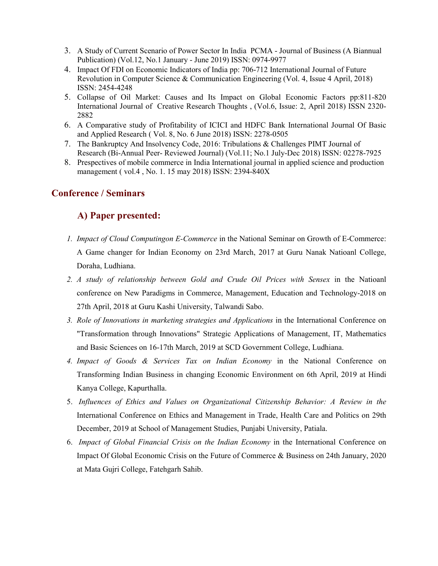- 3. A Study of Current Scenario of Power Sector In India PCMA Journal of Business (A Biannual Publication) (Vol.12, No.1 January - June 2019) ISSN: 0974-9977
- 4. Impact Of FDI on Economic Indicators of India pp: 706-712 International Journal of Future Revolution in Computer Science & Communication Engineering (Vol. 4, Issue 4 April, 2018) ISSN: 2454-4248
- 5. Collapse of Oil Market: Causes and Its Impact on Global Economic Factors pp:811-820 International Journal of Creative Research Thoughts , (Vol.6, Issue: 2, April 2018) ISSN 2320- 2882
- 6. A Comparative study of Profitability of ICICI and HDFC Bank International Journal Of Basic and Applied Research ( Vol. 8, No. 6 June 2018) ISSN: 2278-0505
- 7. The Bankruptcy And Insolvency Code, 2016: Tribulations & Challenges PIMT Journal of Research (Bi-Annual Peer- Reviewed Journal) (Vol.11; No.1 July-Dec 2018) ISSN: 02278-7925
- 8. Prespectives of mobile commerce in India International journal in applied science and production management ( vol.4 , No. 1. 15 may 2018) ISSN: 2394-840X

#### **Conference / Seminars**

# **A) Paper presented:**

- *1. Impact of Cloud Computingon E-Commerce* in the National Seminar on Growth of E-Commerce: A Game changer for Indian Economy on 23rd March, 2017 at Guru Nanak Natioanl College, Doraha, Ludhiana.
- *2. A study of relationship between Gold and Crude Oil Prices with Sensex* in the Natioanl conference on New Paradigms in Commerce, Management, Education and Technology-2018 on 27th April, 2018 at Guru Kashi University, Talwandi Sabo.
- *3. Role of Innovations in marketing strategies and Applications* in the International Conference on "Transformation through Innovations" Strategic Applications of Management, IT, Mathematics and Basic Sciences on 16-17th March, 2019 at SCD Government College, Ludhiana.
- *4. Impact of Goods & Services Tax on Indian Economy* in the National Conference on Transforming Indian Business in changing Economic Environment on 6th April, 2019 at Hindi Kanya College, Kapurthalla.
- 5. *Influences of Ethics and Values on Organizational Citizenship Behavior: A Review in the*  International Conference on Ethics and Management in Trade, Health Care and Politics on 29th December, 2019 at School of Management Studies, Punjabi University, Patiala.
- 6. *Impact of Global Financial Crisis on the Indian Economy* in the International Conference on Impact Of Global Economic Crisis on the Future of Commerce & Business on 24th January, 2020 at Mata Gujri College, Fatehgarh Sahib.